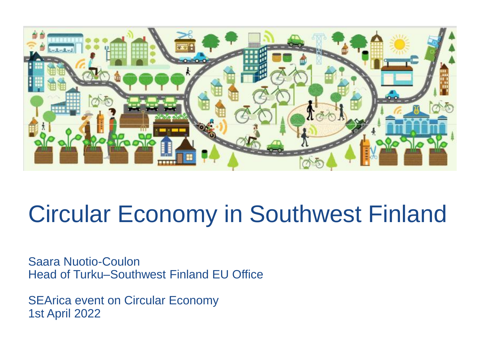

## Circular Economy in Southwest Finland

Saara Nuotio-Coulon Head of Turku–Southwest Finland EU Office

SEArica event on Circular Economy 1st April 2022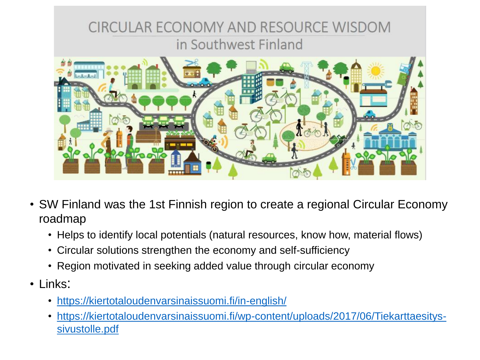

- SW Finland was the 1st Finnish region to create a regional Circular Economy roadmap
	- Helps to identify local potentials (natural resources, know how, material flows)
	- Circular solutions strengthen the economy and self-sufficiency
	- Region motivated in seeking added value through circular economy
- Links:
	- <https://kiertotaloudenvarsinaissuomi.fi/in-english/>
	- [https://kiertotaloudenvarsinaissuomi.fi/wp-content/uploads/2017/06/Tiekarttaesitys](https://kiertotaloudenvarsinaissuomi.fi/wp-content/uploads/2017/06/Tiekarttaesitys-sivustolle.pdf)sivustolle.pdf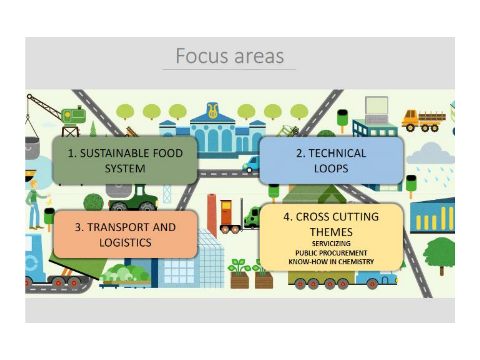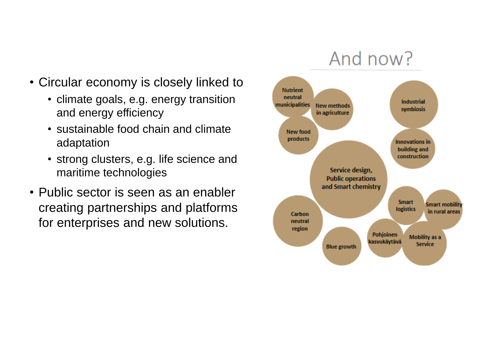- Circular economy is closely linked to
	- climate goals, e.g. energy transition and energy efficiency
	- sustainable food chain and climate adaptation
	- strong clusters, e.g. life science and maritime technologies
- Public sector is seen as an enabler creating partnerships and platforms for enterprises and new solutions.

## And now?

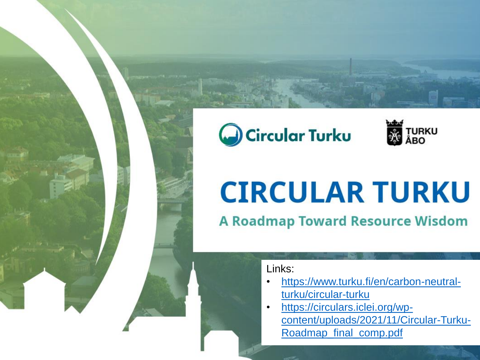## Circular Turku



# **CIRCULAR TURKU**

**A Roadmap Toward Resource Wisdom** 

Links:

- [https://www.turku.fi/en/carbon-neutral](https://www.turku.fi/en/carbon-neutral-turku/circular-turku)turku/circular-turku
- https://circulars.iclei.org/wp[content/uploads/2021/11/Circular-Turku-](https://circulars.iclei.org/wp-content/uploads/2021/11/Circular-Turku-Roadmap_final_comp.pdf)Roadmap\_final\_comp.pdf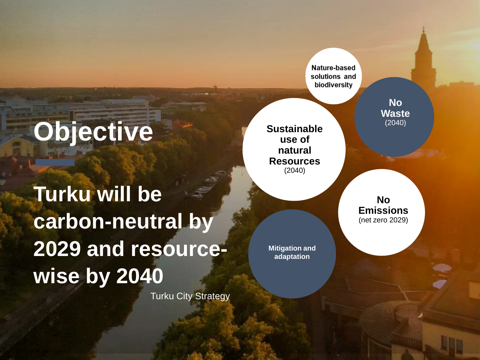**Objective**

**Turku will be carbon-neutral by 2029 and resourcewise by 2040**

Turku City Strategy

Nature-based solutions and biodiversity

**Sustainable use of natural Resources** (2040)

**Mitigation and adaptation**

**No Emissions** (net zero 2029)

**No Waste** (2040)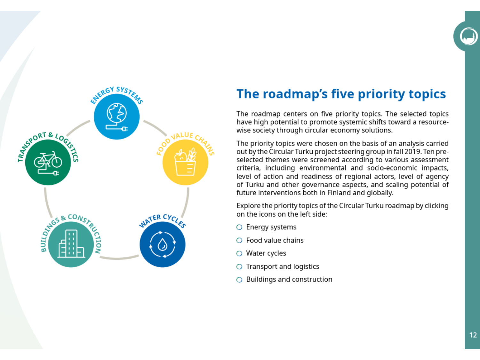

### The roadmap's five priority topics

The roadmap centers on five priority topics. The selected topics have high potential to promote systemic shifts toward a resourcewise society through circular economy solutions.

The priority topics were chosen on the basis of an analysis carried out by the Circular Turku project steering group in fall 2019. Ten preselected themes were screened according to various assessment criteria, including environmental and socio-economic impacts, level of action and readiness of regional actors, level of agency of Turku and other governance aspects, and scaling potential of future interventions both in Finland and globally.

Explore the priority topics of the Circular Turku roadmap by clicking on the icons on the left side:

- O Energy systems
- Food value chains
- Water cycles O
- $\bigcirc$  Transport and logistics
- $\bigcirc$  Buildings and construction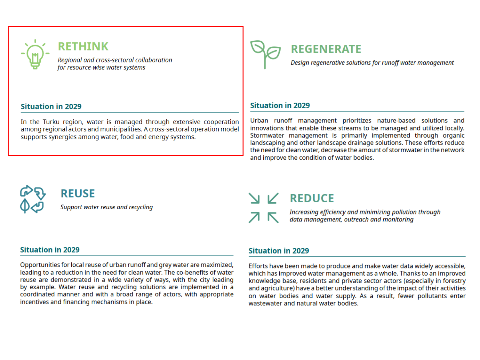

### **RETHINK**

Regional and cross-sectoral collaboration for resource-wise water systems

#### **Situation in 2029**

In the Turku region, water is managed through extensive cooperation among regional actors and municipalities. A cross-sectoral operation model supports synergies among water, food and energy systems.



### **REGENERATE**

Design regenerative solutions for runoff water management

### **Situation in 2029**

Urban runoff management prioritizes nature-based solutions and innovations that enable these streams to be managed and utilized locally. Stormwater management is primarily implemented through organic landscaping and other landscape drainage solutions. These efforts reduce the need for clean water, decrease the amount of stormwater in the network and improve the condition of water bodies.



**REUSE** 

Support water reuse and recycling

### **REDUCE**



Increasing efficiency and minimizing pollution through data management, outreach and monitoring

#### **Situation in 2029**

Opportunities for local reuse of urban runoff and grey water are maximized, leading to a reduction in the need for clean water. The co-benefits of water reuse are demonstrated in a wide variety of ways, with the city leading by example. Water reuse and recycling solutions are implemented in a coordinated manner and with a broad range of actors, with appropriate incentives and financing mechanisms in place.

### **Situation in 2029**

Efforts have been made to produce and make water data widely accessible, which has improved water management as a whole. Thanks to an improved knowledge base, residents and private sector actors (especially in forestry and agriculture) have a better understanding of the impact of their activities on water bodies and water supply. As a result, fewer pollutants enter wastewater and natural water bodies.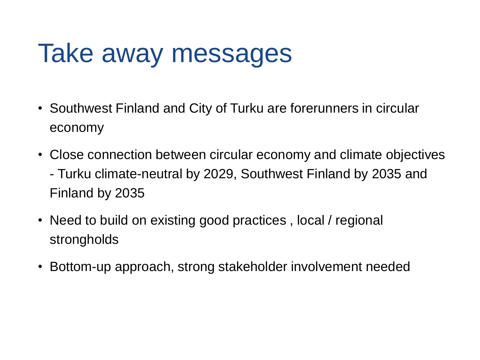## Take away messages

- Southwest Finland and City of Turku are forerunners in circular economy
- Close connection between circular economy and climate objectives - Turku climate-neutral by 2029, Southwest Finland by 2035 and Finland by 2035
- Need to build on existing good practices, local / regional strongholds
- Bottom-up approach, strong stakeholder involvement needed